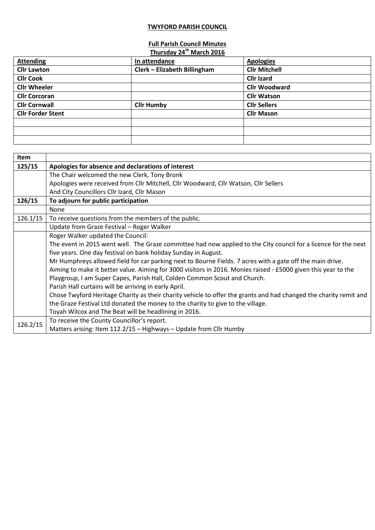## **TWYFORD PARISH COUNCIL**

## **Full Parish Council Minutes**

|                          | Thursday 24 <sup>th</sup> March 2016 |                      |
|--------------------------|--------------------------------------|----------------------|
| <b>Attending</b>         | In attendance                        | <b>Apologies</b>     |
| <b>Cllr Lawton</b>       | Clerk - Elizabeth Billingham         | <b>Cllr Mitchell</b> |
| <b>Cllr Cook</b>         |                                      | <b>Cllr Izard</b>    |
| <b>Cllr Wheeler</b>      |                                      | <b>Cllr Woodward</b> |
| <b>Cllr Corcoran</b>     |                                      | <b>Cllr Watson</b>   |
| <b>Cllr Cornwall</b>     | <b>Cllr Humby</b>                    | <b>Cllr Sellers</b>  |
| <b>Cllr Forder Stent</b> |                                      | <b>Cllr Mason</b>    |
|                          |                                      |                      |
|                          |                                      |                      |
|                          |                                      |                      |

| Item     |                                                                                                                   |  |  |
|----------|-------------------------------------------------------------------------------------------------------------------|--|--|
| 125/15   | Apologies for absence and declarations of interest                                                                |  |  |
|          | The Chair welcomed the new Clerk, Tony Bronk                                                                      |  |  |
|          | Apologies were received from Cllr Mitchell, Cllr Woodward, Cllr Watson, Cllr Sellers                              |  |  |
|          | And City Councillors Cllr Izard, Cllr Mason                                                                       |  |  |
| 126/15   | To adjourn for public participation                                                                               |  |  |
|          | None                                                                                                              |  |  |
| 126.1/15 | To receive questions from the members of the public.                                                              |  |  |
|          | Update from Graze Festival - Roger Walker                                                                         |  |  |
|          | Roger Walker updated the Council:                                                                                 |  |  |
|          | The event in 2015 went well. The Graze committee had now applied to the City council for a licence for the next   |  |  |
|          | five years. One day festival on bank holiday Sunday in August.                                                    |  |  |
|          | Mr Humphreys allowed field for car parking next to Bourne Fields. 7 acres with a gate off the main drive.         |  |  |
|          | Aiming to make it better value. Aiming for 3000 visitors in 2016. Monies raised - £5000 given this year to the    |  |  |
|          | Playgroup, I am Super Capes, Parish Hall, Colden Common Scout and Church.                                         |  |  |
|          | Parish Hall curtains will be arriving in early April.                                                             |  |  |
|          | Chose Twyford Heritage Charity as their charity vehicle to offer the grants and had changed the charity remit and |  |  |
|          | the Graze Festival Ltd donated the money to the charity to give to the village.                                   |  |  |
|          | Toyah Wilcox and The Beat will be headlining in 2016.                                                             |  |  |
| 126.2/15 | To receive the County Councillor's report.                                                                        |  |  |
|          | Matters arising: Item 112.2/15 - Highways - Update from Cllr Humby                                                |  |  |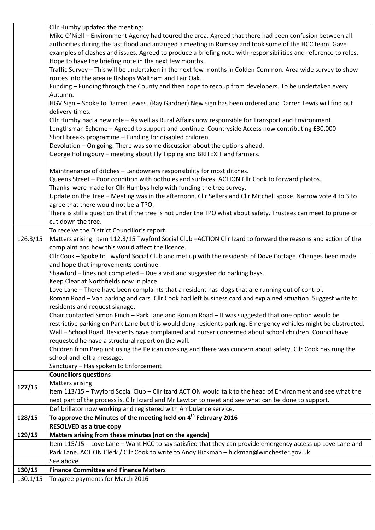|          | Cllr Humby updated the meeting:                                                                                  |
|----------|------------------------------------------------------------------------------------------------------------------|
|          | Mike O'Niell - Environment Agency had toured the area. Agreed that there had been confusion between all          |
|          | authorities during the last flood and arranged a meeting in Romsey and took some of the HCC team. Gave           |
|          | examples of clashes and issues. Agreed to produce a briefing note with responsibilities and reference to roles.  |
|          | Hope to have the briefing note in the next few months.                                                           |
|          | Traffic Survey - This will be undertaken in the next few months in Colden Common. Area wide survey to show       |
|          | routes into the area ie Bishops Waltham and Fair Oak.                                                            |
|          | Funding - Funding through the County and then hope to recoup from developers. To be undertaken every             |
|          | Autumn.                                                                                                          |
|          | HGV Sign - Spoke to Darren Lewes. (Ray Gardner) New sign has been ordered and Darren Lewis will find out         |
|          | delivery times.                                                                                                  |
|          | Cllr Humby had a new role - As well as Rural Affairs now responsible for Transport and Environment.              |
|          | Lengthsman Scheme - Agreed to support and continue. Countryside Access now contributing £30,000                  |
|          | Short breaks programme - Funding for disabled children.                                                          |
|          | Devolution - On going. There was some discussion about the options ahead.                                        |
|          | George Hollingbury - meeting about Fly Tipping and BRITEXIT and farmers.                                         |
|          |                                                                                                                  |
|          | Maintnenance of ditches - Landowners responsibility for most ditches.                                            |
|          | Queens Street - Poor condition with potholes and surfaces. ACTION Cllr Cook to forward photos.                   |
|          | Thanks were made for Cllr Humbys help with funding the tree survey.                                              |
|          | Update on the Tree - Meeting was in the afternoon. Cllr Sellers and Cllr Mitchell spoke. Narrow vote 4 to 3 to   |
|          | agree that there would not be a TPO.                                                                             |
|          | There is still a question that if the tree is not under the TPO what about safety. Trustees can meet to prune or |
|          | cut down the tree.                                                                                               |
|          | To receive the District Councillor's report.                                                                     |
| 126.3/15 | Matters arising: Item 112.3/15 Twyford Social Club - ACTION Cllr Izard to forward the reasons and action of the  |
|          | complaint and how this would affect the licence.                                                                 |
|          |                                                                                                                  |
|          | Cllr Cook - Spoke to Twyford Social Club and met up with the residents of Dove Cottage. Changes been made        |
|          | and hope that improvements continue.                                                                             |
|          | Shawford - lines not completed - Due a visit and suggested do parking bays.                                      |
|          | Keep Clear at Northfields now in place.                                                                          |
|          | Love Lane - There have been complaints that a resident has dogs that are running out of control.                 |
|          | Roman Road - Van parking and cars. Cllr Cook had left business card and explained situation. Suggest write to    |
|          | residents and request signage.                                                                                   |
|          | Chair contacted Simon Finch - Park Lane and Roman Road - It was suggested that one option would be               |
|          | restrictive parking on Park Lane but this would deny residents parking. Emergency vehicles might be obstructed.  |
|          | Wall - School Road. Residents have complained and bursar concerned about school children. Council have           |
|          | requested he have a structural report on the wall.                                                               |
|          | Children from Prep not using the Pelican crossing and there was concern about safety. Cllr Cook has rung the     |
|          | school and left a message.                                                                                       |
|          | Sanctuary - Has spoken to Enforcement                                                                            |
|          | <b>Councillors questions</b>                                                                                     |
|          | Matters arising:                                                                                                 |
| 127/15   | Item 113/15 - Twyford Social Club - Cllr Izard ACTION would talk to the head of Environment and see what the     |
|          | next part of the process is. Cllr Izzard and Mr Lawton to meet and see what can be done to support.              |
|          | Defibrillator now working and registered with Ambulance service.                                                 |
| 128/15   | To approve the Minutes of the meeting held on 4 <sup>th</sup> February 2016                                      |
|          | <b>RESOLVED as a true copy</b>                                                                                   |
| 129/15   | Matters arising from these minutes (not on the agenda)                                                           |
|          | Item 115/15 - Love Lane - Want HCC to say satisfied that they can provide emergency access up Love Lane and      |
|          | Park Lane. ACTION Clerk / Cllr Cook to write to Andy Hickman - hickman@winchester.gov.uk                         |
|          | See above                                                                                                        |
| 130/15   | <b>Finance Committee and Finance Matters</b>                                                                     |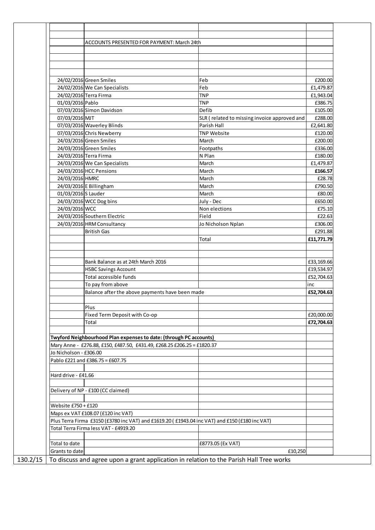|                        | ACCOUNTS PRESENTED FOR PAYMENT: March 24th                                                     |                                              |            |
|------------------------|------------------------------------------------------------------------------------------------|----------------------------------------------|------------|
|                        |                                                                                                |                                              |            |
|                        |                                                                                                |                                              |            |
|                        |                                                                                                |                                              |            |
|                        | 24/02/2016 Green Smiles                                                                        | Feb                                          | £200.00    |
|                        | 24/02/2016 We Can Specialists                                                                  | Feb                                          | £1,479.87  |
|                        | 24/02/2016 Terra Firma                                                                         | <b>TNP</b>                                   | £1,943.04  |
| 01/03/2016 Pablo       |                                                                                                | <b>TNP</b>                                   | £386.75    |
|                        | 07/03/2016 Simon Davidson                                                                      | Defib                                        | £105.00    |
| 07/03/2016 MJT         |                                                                                                | SLR (related to missing invoice approved and | £288.00    |
|                        | 07/03/2016 Waverley Blinds                                                                     | Parish Hall                                  | £2,641.80  |
|                        | 07/03/2016 Chris Newberry                                                                      | <b>TNP Website</b>                           | £120.00    |
|                        | 24/03/2016 Green Smiles                                                                        | March                                        | £200.00    |
|                        | 24/03/2016 Green Smiles                                                                        | Footpaths                                    | £336.00    |
|                        | 24/03/2016 Terra Firma                                                                         | N Plan                                       | £180.00    |
|                        | 24/03/2016 We Can Specialists                                                                  | March                                        | £1,479.87  |
|                        | 24/03/2016 HCC Pensions                                                                        | March                                        | £166.57    |
| 24/03/2016 HMRC        |                                                                                                | March                                        | £28.78     |
|                        | 24/03/2016 E Billingham                                                                        | March                                        | £790.50    |
| 01/03/2016 S Lauder    |                                                                                                | March                                        | £80.00     |
|                        | 24/03/2016 WCC Dog bins                                                                        | July - Dec                                   | £650.00    |
| 24/03/2016 WCC         |                                                                                                | Non elections                                | £75.10     |
|                        | 24/03/2016 Southern Electric                                                                   | Field                                        | £22.63     |
|                        | 24/03/2016 HRM Consultancy                                                                     | Jo Nicholson Nplan                           | £306.00    |
|                        | <b>British Gas</b>                                                                             |                                              | £291.88    |
|                        |                                                                                                | Total                                        | £11,771.79 |
|                        |                                                                                                |                                              |            |
|                        | Bank Balance as at 24th March 2016                                                             |                                              | £33,169.66 |
|                        | <b>HSBC Savings Account</b>                                                                    |                                              | £19,534.97 |
|                        | Total accessible funds                                                                         |                                              | £52,704.63 |
|                        | To pay from above                                                                              |                                              | inc        |
|                        | Balance after the above payments have been made                                                |                                              | £52,704.63 |
|                        | Plus                                                                                           |                                              |            |
|                        | Fixed Term Deposit with Co-op                                                                  |                                              | £20,000.00 |
|                        | Total                                                                                          |                                              | £72,704.63 |
|                        | <b>Twyford Neighbourhood Plan expenses to date: (through PC accounts)</b>                      |                                              |            |
|                        |                                                                                                |                                              |            |
|                        | Mary Anne - £276.88, £150, £487.50, £431.49, £268.25 £206.25 = £1820.37                        |                                              |            |
| Jo Nicholson - £306.00 |                                                                                                |                                              |            |
|                        | Pablo £221 and £386.75 = £607.75                                                               |                                              |            |
| Hard drive - £41.66    |                                                                                                |                                              |            |
|                        |                                                                                                |                                              |            |
|                        | Delivery of NP - £100 (CC claimed)                                                             |                                              |            |
| Website £750 + £120    |                                                                                                |                                              |            |
|                        | Maps ex VAT £108.07 (£120 inc VAT)                                                             |                                              |            |
|                        | Plus Terra Firma £3150 (£3780 inc VAT) and £1619.20 (£1943.04 inc VAT) and £150 (£180 inc VAT) |                                              |            |
|                        | Total Terra Firma less VAT - £4919.20                                                          |                                              |            |
| Total to date          |                                                                                                | £8773.05 (Ex VAT)                            |            |